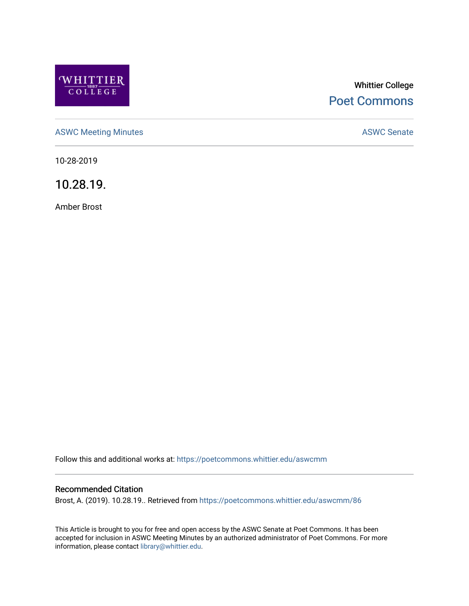

# Whittier College [Poet Commons](https://poetcommons.whittier.edu/)

[ASWC Meeting Minutes](https://poetcommons.whittier.edu/aswcmm) **ASWC Senate** 

10-28-2019

10.28.19.

Amber Brost

Follow this and additional works at: [https://poetcommons.whittier.edu/aswcmm](https://poetcommons.whittier.edu/aswcmm?utm_source=poetcommons.whittier.edu%2Faswcmm%2F86&utm_medium=PDF&utm_campaign=PDFCoverPages)

#### Recommended Citation

Brost, A. (2019). 10.28.19.. Retrieved from [https://poetcommons.whittier.edu/aswcmm/86](https://poetcommons.whittier.edu/aswcmm/86?utm_source=poetcommons.whittier.edu%2Faswcmm%2F86&utm_medium=PDF&utm_campaign=PDFCoverPages)

This Article is brought to you for free and open access by the ASWC Senate at Poet Commons. It has been accepted for inclusion in ASWC Meeting Minutes by an authorized administrator of Poet Commons. For more information, please contact [library@whittier.edu.](mailto:library@whittier.edu)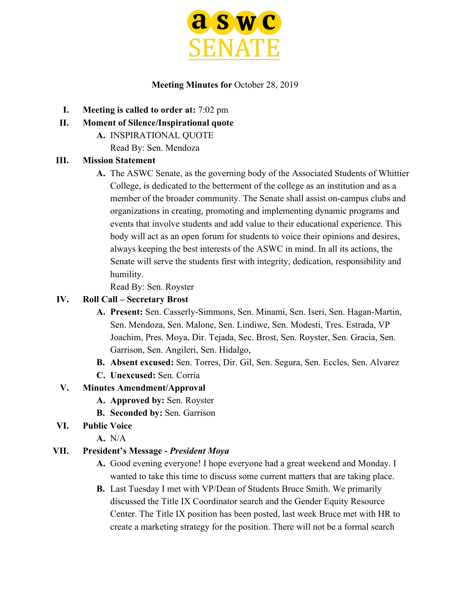

### **Meeting Minutes for** October 28, 2019

- **I. Meeting is called to order at:** 7:02 pm
- **II. Moment of Silence/Inspirational quote**
	- **A.** INSPIRATIONAL QUOTE Read By: Sen. Mendoza

### **III. Mission Statement**

**A.** The ASWC Senate, as the governing body of the Associated Students of Whittier College, is dedicated to the betterment of the college as an institution and as a member of the broader community. The Senate shall assist on-campus clubs and organizations in creating, promoting and implementing dynamic programs and events that involve students and add value to their educational experience. This body will act as an open forum for students to voice their opinions and desires, always keeping the best interests of the ASWC in mind. In all its actions, the Senate will serve the students first with integrity, dedication, responsibility and humility.

Read By: Sen. Royster

### **IV. Roll Call – Secretary Brost**

- **A. Present:** Sen. Casserly-Simmons, Sen. Minami, Sen. Iseri, Sen. Hagan-Martin, Sen. Mendoza, Sen. Malone, Sen. Lindiwe, Sen. Modesti, Tres. Estrada, VP Joachim, Pres. Moya, Dir. Tejada, Sec. Brost, Sen. Royster, Sen. Gracia, Sen. Garrison, Sen. Angileri, Sen. Hidalgo,
- **B. Absent excused:** Sen. Torres, Dir. Gil, Sen. Segura, Sen. Eccles, Sen. Alvarez
- **C. Unexcused:** Sen. Corria

# **V. Minutes Amendment/Approval**

- **A. Approved by:** Sen. Royster
- **B. Seconded by:** Sen. Garrison
- **VI. Public Voice**
	- **A.** N/A

#### **VII. President's Message -** *President Moya*

- **A.** Good evening everyone! I hope everyone had a great weekend and Monday. I wanted to take this time to discuss some current matters that are taking place.
- **B.** Last Tuesday I met with VP/Dean of Students Bruce Smith. We primarily discussed the Title IX Coordinator search and the Gender Equity Resource Center. The Title IX position has been posted, last week Bruce met with HR to create a marketing strategy for the position. There will not be a formal search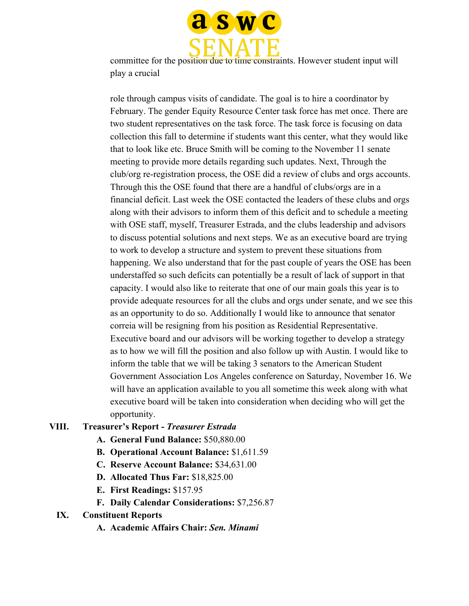

committee for the position due to time constraints. However student input will play a crucial

role through campus visits of candidate. The goal is to hire a coordinator by February. The gender Equity Resource Center task force has met once. There are two student representatives on the task force. The task force is focusing on data collection this fall to determine if students want this center, what they would like that to look like etc. Bruce Smith will be coming to the November 11 senate meeting to provide more details regarding such updates. Next, Through the club/org re-registration process, the OSE did a review of clubs and orgs accounts. Through this the OSE found that there are a handful of clubs/orgs are in a financial deficit. Last week the OSE contacted the leaders of these clubs and orgs along with their advisors to inform them of this deficit and to schedule a meeting with OSE staff, myself, Treasurer Estrada, and the clubs leadership and advisors to discuss potential solutions and next steps. We as an executive board are trying to work to develop a structure and system to prevent these situations from happening. We also understand that for the past couple of years the OSE has been understaffed so such deficits can potentially be a result of lack of support in that capacity. I would also like to reiterate that one of our main goals this year is to provide adequate resources for all the clubs and orgs under senate, and we see this as an opportunity to do so. Additionally I would like to announce that senator correia will be resigning from his position as Residential Representative. Executive board and our advisors will be working together to develop a strategy as to how we will fill the position and also follow up with Austin. I would like to inform the table that we will be taking 3 senators to the American Student Government Association Los Angeles conference on Saturday, November 16. We will have an application available to you all sometime this week along with what executive board will be taken into consideration when deciding who will get the opportunity.

#### **VIII. Treasurer's Report -** *Treasurer Estrada*

- **A. General Fund Balance:** \$50,880.00
- **B. Operational Account Balance:** \$1,611.59
- **C. Reserve Account Balance:** \$34,631.00
- **D. Allocated Thus Far:** \$18,825.00
- **E. First Readings:** \$157.95
- **F. Daily Calendar Considerations:** \$7,256.87
- **IX. Constituent Reports**
	- **A. Academic Affairs Chair:** *Sen. Minami*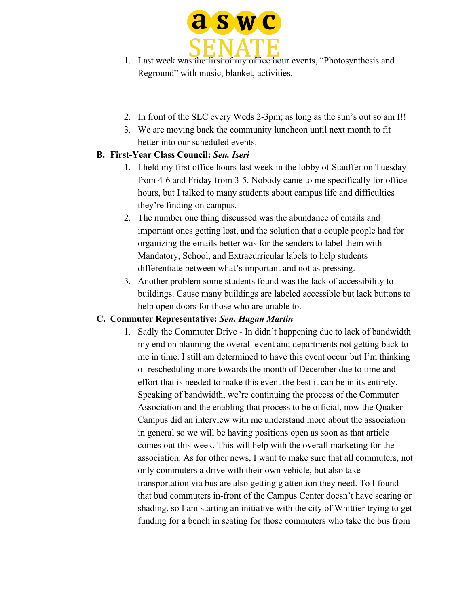

- 1. Last week was the first of my office hour events, "Photosynthesis and Reground" with music, blanket, activities.
- 2. In front of the SLC every Weds 2-3pm; as long as the sun's out so am I!!
- 3. We are moving back the community luncheon until next month to fit better into our scheduled events.

### **B. First-Year Class Council:** *Sen. Iseri*

- 1. I held my first office hours last week in the lobby of Stauffer on Tuesday from 4-6 and Friday from 3-5. Nobody came to me specifically for office hours, but I talked to many students about campus life and difficulties they're finding on campus.
- 2. The number one thing discussed was the abundance of emails and important ones getting lost, and the solution that a couple people had for organizing the emails better was for the senders to label them with Mandatory, School, and Extracurricular labels to help students differentiate between what's important and not as pressing.
- 3. Another problem some students found was the lack of accessibility to buildings. Cause many buildings are labeled accessible but lack buttons to help open doors for those who are unable to.

#### **C. Commuter Representative:** *Sen. Hagan Martin*

1. Sadly the Commuter Drive - In didn't happening due to lack of bandwidth my end on planning the overall event and departments not getting back to me in time. I still am determined to have this event occur but I'm thinking of rescheduling more towards the month of December due to time and effort that is needed to make this event the best it can be in its entirety. Speaking of bandwidth, we're continuing the process of the Commuter Association and the enabling that process to be official, now the Quaker Campus did an interview with me understand more about the association in general so we will be having positions open as soon as that article comes out this week. This will help with the overall marketing for the association. As for other news, I want to make sure that all commuters, not only commuters a drive with their own vehicle, but also take transportation via bus are also getting g attention they need. To I found that bud commuters in-front of the Campus Center doesn't have searing or shading, so I am starting an initiative with the city of Whittier trying to get funding for a bench in seating for those commuters who take the bus from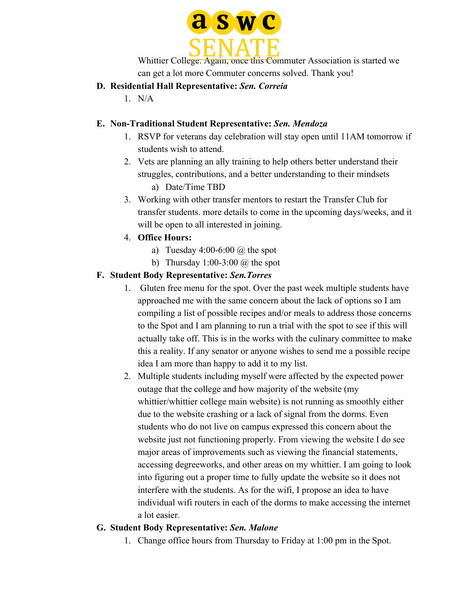

Whittier College. Again, once this Commuter Association is started we can get a lot more Commuter concerns solved. Thank you!

- **D. Residential Hall Representative:** *Sen. Correia*
	- 1. N/A

### **E. Non-Traditional Student Representative:** *Sen. Mendoza*

- 1. RSVP for veterans day celebration will stay open until 11AM tomorrow if students wish to attend.
- 2. Vets are planning an ally training to help others better understand their struggles, contributions, and a better understanding to their mindsets a) Date/Time TBD
- 3. Working with other transfer mentors to restart the Transfer Club for transfer students. more details to come in the upcoming days/weeks, and it will be open to all interested in joining.
- 4. **Office Hours:**
	- a) Tuesday 4:00-6:00  $\omega$  the spot
	- b) Thursday  $1:00-3:00 \ (\hat{\alpha})$  the spot

# **F. Student Body Representative:** *Sen.Torres*

- 1. Gluten free menu for the spot. Over the past week multiple students have approached me with the same concern about the lack of options so I am compiling a list of possible recipes and/or meals to address those concerns to the Spot and I am planning to run a trial with the spot to see if this will actually take off. This is in the works with the culinary committee to make this a reality. If any senator or anyone wishes to send me a possible recipe idea I am more than happy to add it to my list.
- 2. Multiple students including myself were affected by the expected power outage that the college and how majority of the website (my whittier/whittier college main website) is not running as smoothly either due to the website crashing or a lack of signal from the dorms. Even students who do not live on campus expressed this concern about the website just not functioning properly. From viewing the website I do see major areas of improvements such as viewing the financial statements, accessing degreeworks, and other areas on my whittier. I am going to look into figuring out a proper time to fully update the website so it does not interfere with the students. As for the wifi, I propose an idea to have individual wifi routers in each of the dorms to make accessing the internet a lot easier.

#### **G. Student Body Representative:** *Sen. Malone*

1. Change office hours from Thursday to Friday at 1:00 pm in the Spot.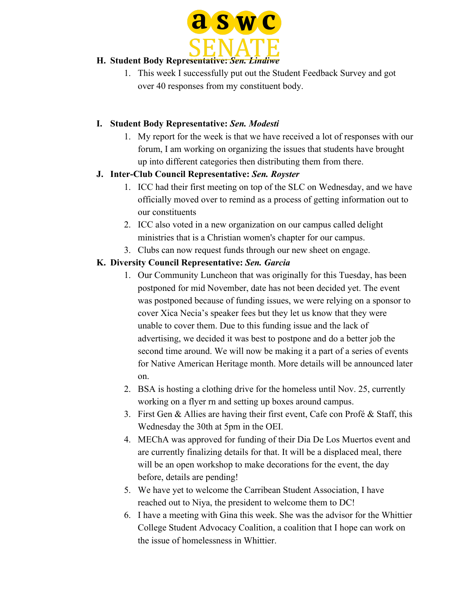

# **H. Student Body Representative:** *Sen. Lindiwe*

1. This week I successfully put out the Student Feedback Survey and got over 40 responses from my constituent body.

# **I. Student Body Representative:** *Sen. Modesti*

1. My report for the week is that we have received a lot of responses with our forum, I am working on organizing the issues that students have brought up into different categories then distributing them from there.

# **J. Inter-Club Council Representative:** *Sen. Royster*

- 1. ICC had their first meeting on top of the SLC on Wednesday, and we have officially moved over to remind as a process of getting information out to our constituents
- 2. ICC also voted in a new organization on our campus called delight ministries that is a Christian women's chapter for our campus.
- 3. Clubs can now request funds through our new sheet on engage.

# **K. Diversity Council Representative:** *Sen. Garcia*

- 1. Our Community Luncheon that was originally for this Tuesday, has been postponed for mid November, date has not been decided yet. The event was postponed because of funding issues, we were relying on a sponsor to cover Xica Necia's speaker fees but they let us know that they were unable to cover them. Due to this funding issue and the lack of advertising, we decided it was best to postpone and do a better job the second time around. We will now be making it a part of a series of events for Native American Heritage month. More details will be announced later on.
- 2. BSA is hosting a clothing drive for the homeless until Nov. 25, currently working on a flyer rn and setting up boxes around campus.
- 3. First Gen & Allies are having their first event, Cafe con Profé & Staff, this Wednesday the 30th at 5pm in the OEI.
- 4. MEChA was approved for funding of their Dia De Los Muertos event and are currently finalizing details for that. It will be a displaced meal, there will be an open workshop to make decorations for the event, the day before, details are pending!
- 5. We have yet to welcome the Carribean Student Association, I have reached out to Niya, the president to welcome them to DC!
- 6. I have a meeting with Gina this week. She was the advisor for the Whittier College Student Advocacy Coalition, a coalition that I hope can work on the issue of homelessness in Whittier.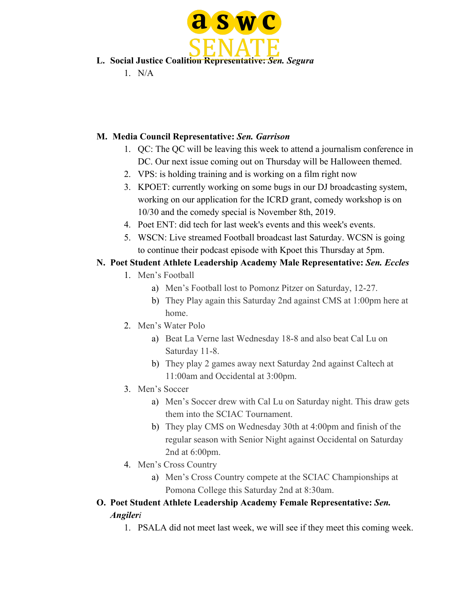

- **L. Social Justice Coalition Representative:** *Sen. Segura*
	- $1$  N/A

# **M. Media Council Representative:** *Sen. Garrison*

- 1. QC: The QC will be leaving this week to attend a journalism conference in DC. Our next issue coming out on Thursday will be Halloween themed.
- 2. VPS: is holding training and is working on a film right now
- 3. KPOET: currently working on some bugs in our DJ broadcasting system, working on our application for the ICRD grant, comedy workshop is on 10/30 and the comedy special is November 8th, 2019.
- 4. Poet ENT: did tech for last week's events and this week's events.
- 5. WSCN: Live streamed Football broadcast last Saturday. WCSN is going to continue their podcast episode with Kpoet this Thursday at 5pm.

# **N. Poet Student Athlete Leadership Academy Male Representative:** *Sen. Eccles*

- 1. Men's Football
	- a) Men's Football lost to Pomonz Pitzer on Saturday, 12-27.
	- b) They Play again this Saturday 2nd against CMS at 1:00pm here at home.
- 2. Men's Water Polo
	- a) Beat La Verne last Wednesday 18-8 and also beat Cal Lu on Saturday 11-8.
	- b) They play 2 games away next Saturday 2nd against Caltech at 11:00am and Occidental at 3:00pm.
- 3. Men's Soccer
	- a) Men's Soccer drew with Cal Lu on Saturday night. This draw gets them into the SCIAC Tournament.
	- b) They play CMS on Wednesday 30th at 4:00pm and finish of the regular season with Senior Night against Occidental on Saturday 2nd at 6:00pm.
- 4. Men's Cross Country
	- a) Men's Cross Country compete at the SCIAC Championships at Pomona College this Saturday 2nd at 8:30am.
- **O. Poet Student Athlete Leadership Academy Female Representative:** *Sen. Angileri*
	- 1. PSALA did not meet last week, we will see if they meet this coming week.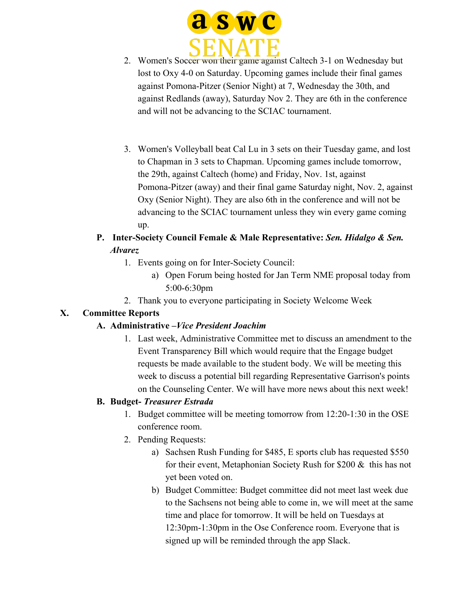

- 2. Women's Soccer won their game against Caltech 3-1 on Wednesday but lost to Oxy 4-0 on Saturday. Upcoming games include their final games against Pomona-Pitzer (Senior Night) at 7, Wednesday the 30th, and against Redlands (away), Saturday Nov 2. They are 6th in the conference and will not be advancing to the SCIAC tournament.
- 3. Women's Volleyball beat Cal Lu in 3 sets on their Tuesday game, and lost to Chapman in 3 sets to Chapman. Upcoming games include tomorrow, the 29th, against Caltech (home) and Friday, Nov. 1st, against Pomona-Pitzer (away) and their final game Saturday night, Nov. 2, against Oxy (Senior Night). They are also 6th in the conference and will not be advancing to the SCIAC tournament unless they win every game coming up.

# **P. Inter-Society Council Female & Male Representative:** *Sen. Hidalgo & Sen. Alvarez*

- 1. Events going on for Inter-Society Council:
	- a) Open Forum being hosted for Jan Term NME proposal today from 5:00-6:30pm
- 2. Thank you to everyone participating in Society Welcome Week

# **X. Committee Reports**

# **A. Administrative –***Vice President Joachim*

1. Last week, Administrative Committee met to discuss an amendment to the Event Transparency Bill which would require that the Engage budget requests be made available to the student body. We will be meeting this week to discuss a potential bill regarding Representative Garrison's points on the Counseling Center. We will have more news about this next week!

# **B. Budget-** *Treasurer Estrada*

- 1. Budget committee will be meeting tomorrow from 12:20-1:30 in the OSE conference room.
- 2. Pending Requests:
	- a) Sachsen Rush Funding for \$485, E sports club has requested \$550 for their event, Metaphonian Society Rush for \$200 & this has not yet been voted on.
	- b) Budget Committee: Budget committee did not meet last week due to the Sachsens not being able to come in, we will meet at the same time and place for tomorrow. It will be held on Tuesdays at 12:30pm-1:30pm in the Ose Conference room. Everyone that is signed up will be reminded through the app Slack.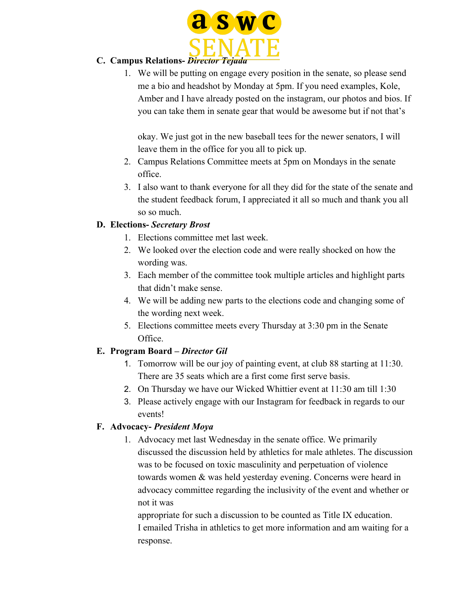

# **C. Campus Relations-** *Director Tejada*

1. We will be putting on engage every position in the senate, so please send me a bio and headshot by Monday at 5pm. If you need examples, Kole, Amber and I have already posted on the instagram, our photos and bios. If you can take them in senate gear that would be awesome but if not that's

okay. We just got in the new baseball tees for the newer senators, I will leave them in the office for you all to pick up.

- 2. Campus Relations Committee meets at 5pm on Mondays in the senate office.
- 3. I also want to thank everyone for all they did for the state of the senate and the student feedback forum, I appreciated it all so much and thank you all so so much.

# **D. Elections-** *Secretary Brost*

- 1. Elections committee met last week.
- 2. We looked over the election code and were really shocked on how the wording was.
- 3. Each member of the committee took multiple articles and highlight parts that didn't make sense.
- 4. We will be adding new parts to the elections code and changing some of the wording next week.
- 5. Elections committee meets every Thursday at 3:30 pm in the Senate Office.

# **E. Program Board –** *Director Gil*

- 1. Tomorrow will be our joy of painting event, at club 88 starting at 11:30. There are 35 seats which are a first come first serve basis.
- 2. On Thursday we have our Wicked Whittier event at 11:30 am till 1:30
- 3. Please actively engage with our Instagram for feedback in regards to our events!

# **F. Advocacy-** *President Moya*

1. Advocacy met last Wednesday in the senate office. We primarily discussed the discussion held by athletics for male athletes. The discussion was to be focused on toxic masculinity and perpetuation of violence towards women & was held yesterday evening. Concerns were heard in advocacy committee regarding the inclusivity of the event and whether or not it was

appropriate for such a discussion to be counted as Title IX education. I emailed Trisha in athletics to get more information and am waiting for a response.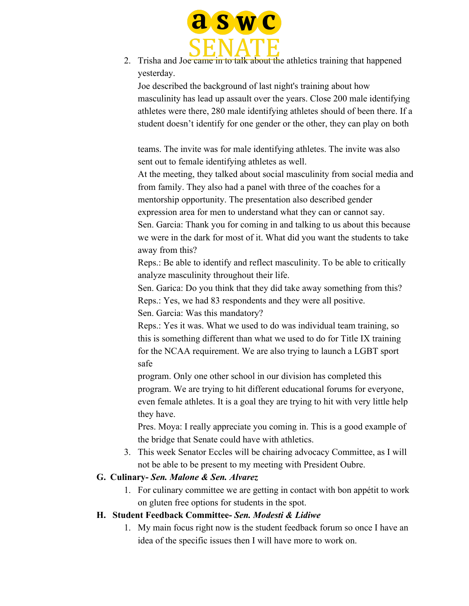

2. Trisha and Joe came in to talk about the athletics training that happened yesterday.

Joe described the background of last night's training about how masculinity has lead up assault over the years. Close 200 male identifying athletes were there, 280 male identifying athletes should of been there. If a student doesn't identify for one gender or the other, they can play on both

teams. The invite was for male identifying athletes. The invite was also sent out to female identifying athletes as well.

At the meeting, they talked about social masculinity from social media and from family. They also had a panel with three of the coaches for a mentorship opportunity. The presentation also described gender

expression area for men to understand what they can or cannot say.

Sen. Garcia: Thank you for coming in and talking to us about this because we were in the dark for most of it. What did you want the students to take away from this?

Reps.: Be able to identify and reflect masculinity. To be able to critically analyze masculinity throughout their life.

Sen. Garica: Do you think that they did take away something from this? Reps.: Yes, we had 83 respondents and they were all positive.

Sen. Garcia: Was this mandatory?

Reps.: Yes it was. What we used to do was individual team training, so this is something different than what we used to do for Title IX training for the NCAA requirement. We are also trying to launch a LGBT sport safe

program. Only one other school in our division has completed this program. We are trying to hit different educational forums for everyone, even female athletes. It is a goal they are trying to hit with very little help they have.

Pres. Moya: I really appreciate you coming in. This is a good example of the bridge that Senate could have with athletics.

3. This week Senator Eccles will be chairing advocacy Committee, as I will not be able to be present to my meeting with President Oubre.

# **G. Culinary-** *Sen. Malone & Sen. Alvarez*

1. For culinary committee we are getting in contact with bon appétit to work on gluten free options for students in the spot.

# **H. Student Feedback Committee-** *Sen. Modesti & Lidiwe*

1. My main focus right now is the student feedback forum so once I have an idea of the specific issues then I will have more to work on.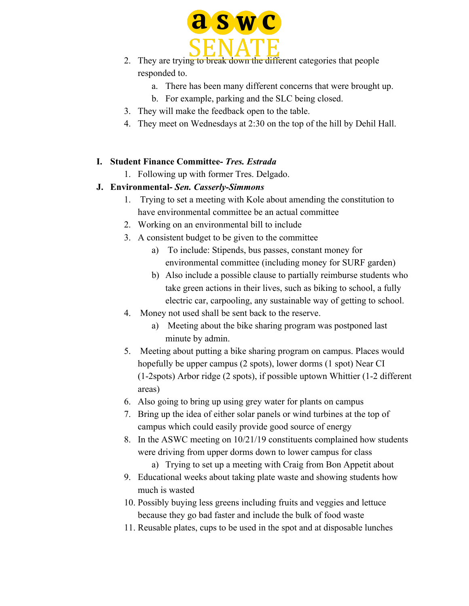

- 2. They are trying to break down the different categories that people responded to.
	- a. There has been many different concerns that were brought up.
	- b. For example, parking and the SLC being closed.
- 3. They will make the feedback open to the table.
- 4. They meet on Wednesdays at 2:30 on the top of the hill by Dehil Hall.

# **I. Student Finance Committee-** *Tres. Estrada*

1. Following up with former Tres. Delgado.

# **J. Environmental-** *Sen. Casserly-Simmons*

- 1. Trying to set a meeting with Kole about amending the constitution to have environmental committee be an actual committee
- 2. Working on an environmental bill to include
- 3. A consistent budget to be given to the committee
	- a) To include: Stipends, bus passes, constant money for environmental committee (including money for SURF garden)
	- b) Also include a possible clause to partially reimburse students who take green actions in their lives, such as biking to school, a fully electric car, carpooling, any sustainable way of getting to school.
- 4. Money not used shall be sent back to the reserve.
	- a) Meeting about the bike sharing program was postponed last minute by admin.
- 5. Meeting about putting a bike sharing program on campus. Places would hopefully be upper campus (2 spots), lower dorms (1 spot) Near CI (1-2spots) Arbor ridge (2 spots), if possible uptown Whittier (1-2 different areas)
- 6. Also going to bring up using grey water for plants on campus
- 7. Bring up the idea of either solar panels or wind turbines at the top of campus which could easily provide good source of energy
- 8. In the ASWC meeting on 10/21/19 constituents complained how students were driving from upper dorms down to lower campus for class

a) Trying to set up a meeting with Craig from Bon Appetit about

- 9. Educational weeks about taking plate waste and showing students how much is wasted
- 10. Possibly buying less greens including fruits and veggies and lettuce because they go bad faster and include the bulk of food waste
- 11. Reusable plates, cups to be used in the spot and at disposable lunches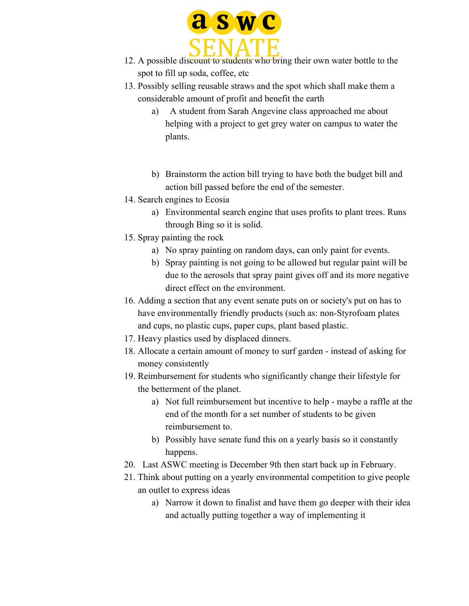

- 12. A possible discount to students who bring their own water bottle to the spot to fill up soda, coffee, etc
- 13. Possibly selling reusable straws and the spot which shall make them a considerable amount of profit and benefit the earth
	- a) A student from Sarah Angevine class approached me about helping with a project to get grey water on campus to water the plants.
	- b) Brainstorm the action bill trying to have both the budget bill and action bill passed before the end of the semester.
- 14. Search engines to Ecosia
	- a) Environmental search engine that uses profits to plant trees. Runs through Bing so it is solid.
- 15. Spray painting the rock
	- a) No spray painting on random days, can only paint for events.
	- b) Spray painting is not going to be allowed but regular paint will be due to the aerosols that spray paint gives off and its more negative direct effect on the environment.
- 16. Adding a section that any event senate puts on or society's put on has to have environmentally friendly products (such as: non-Styrofoam plates and cups, no plastic cups, paper cups, plant based plastic.
- 17. Heavy plastics used by displaced dinners.
- 18. Allocate a certain amount of money to surf garden instead of asking for money consistently
- 19. Reimbursement for students who significantly change their lifestyle for the betterment of the planet.
	- a) Not full reimbursement but incentive to help maybe a raffle at the end of the month for a set number of students to be given reimbursement to.
	- b) Possibly have senate fund this on a yearly basis so it constantly happens.
- 20. Last ASWC meeting is December 9th then start back up in February.
- 21. Think about putting on a yearly environmental competition to give people an outlet to express ideas
	- a) Narrow it down to finalist and have them go deeper with their idea and actually putting together a way of implementing it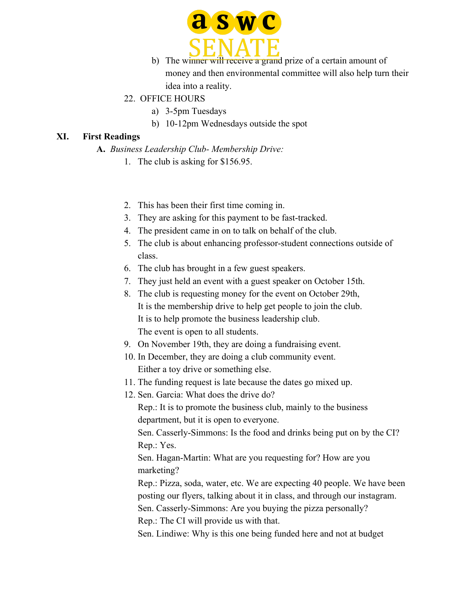

- b) The winner will receive a grand prize of a certain amount of money and then environmental committee will also help turn their idea into a reality.
- 22. OFFICE HOURS
	- a) 3-5pm Tuesdays
	- b) 10-12pm Wednesdays outside the spot

### **XI. First Readings**

- **A.** *Business Leadership Club- Membership Drive:*
	- 1. The club is asking for \$156.95.
	- 2. This has been their first time coming in.
	- 3. They are asking for this payment to be fast-tracked.
	- 4. The president came in on to talk on behalf of the club.
	- 5. The club is about enhancing professor-student connections outside of class.
	- 6. The club has brought in a few guest speakers.
	- 7. They just held an event with a guest speaker on October 15th.
	- 8. The club is requesting money for the event on October 29th, It is the membership drive to help get people to join the club. It is to help promote the business leadership club. The event is open to all students.
	- 9. On November 19th, they are doing a fundraising event.
	- 10. In December, they are doing a club community event. Either a toy drive or something else.
	- 11. The funding request is late because the dates go mixed up.
	- 12. Sen. Garcia: What does the drive do?

Rep.: It is to promote the business club, mainly to the business department, but it is open to everyone.

Sen. Casserly-Simmons: Is the food and drinks being put on by the CI? Rep.: Yes.

Sen. Hagan-Martin: What are you requesting for? How are you marketing?

Rep.: Pizza, soda, water, etc. We are expecting 40 people. We have been posting our flyers, talking about it in class, and through our instagram. Sen. Casserly-Simmons: Are you buying the pizza personally?

Rep.: The CI will provide us with that.

Sen. Lindiwe: Why is this one being funded here and not at budget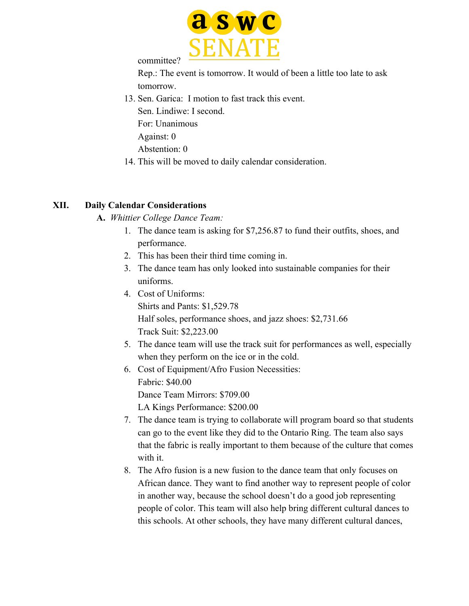

committee?

Rep.: The event is tomorrow. It would of been a little too late to ask tomorrow.

13. Sen. Garica: I motion to fast track this event. Sen. Lindiwe: I second. For: Unanimous Against: 0

Abstention: 0

14. This will be moved to daily calendar consideration.

#### **XII. Daily Calendar Considerations**

- **A.** *Whittier College Dance Team:*
	- 1. The dance team is asking for \$7,256.87 to fund their outfits, shoes, and performance.
	- 2. This has been their third time coming in.
	- 3. The dance team has only looked into sustainable companies for their uniforms.
	- 4. Cost of Uniforms:

Shirts and Pants: \$1,529.78 Half soles, performance shoes, and jazz shoes: \$2,731.66 Track Suit: \$2,223.00

- 5. The dance team will use the track suit for performances as well, especially when they perform on the ice or in the cold.
- 6. Cost of Equipment/Afro Fusion Necessities: Fabric: \$40.00 Dance Team Mirrors: \$709.00 LA Kings Performance: \$200.00
- 7. The dance team is trying to collaborate will program board so that students can go to the event like they did to the Ontario Ring. The team also says that the fabric is really important to them because of the culture that comes with it.
- 8. The Afro fusion is a new fusion to the dance team that only focuses on African dance. They want to find another way to represent people of color in another way, because the school doesn't do a good job representing people of color. This team will also help bring different cultural dances to this schools. At other schools, they have many different cultural dances,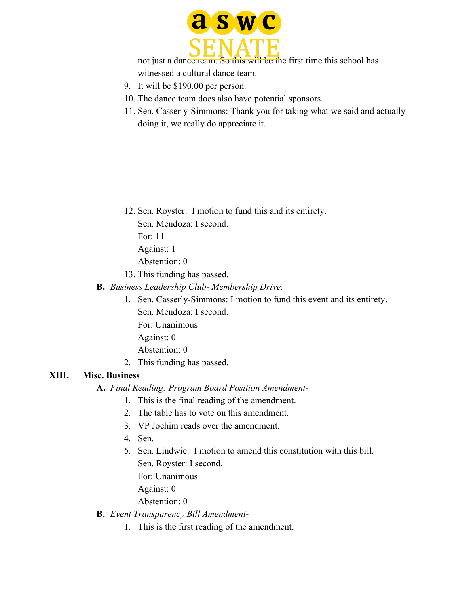

not just a dance team. So this will be the first time this school has witnessed a cultural dance team.

- 9. It will be \$190.00 per person.
- 10. The dance team does also have potential sponsors.
- 11. Sen. Casserly-Simmons: Thank you for taking what we said and actually doing it, we really do appreciate it.

- 12. Sen. Royster: I motion to fund this and its entirety.
	- Sen. Mendoza: I second.
	- For: 11
	- Against: 1
	- Abstention: 0
- 13. This funding has passed.
- **B.** *Business Leadership Club- Membership Drive:*
	- 1. Sen. Casserly-Simmons: I motion to fund this event and its entirety. Sen. Mendoza: I second.
		- For: Unanimous
		- Against: 0
		- Abstention: 0
	- 2. This funding has passed.

#### **XIII. Misc. Business**

**A.** *Final Reading: Program Board Position Amendment-*

- 1. This is the final reading of the amendment.
- 2. The table has to vote on this amendment.
- 3. VP Jochim reads over the amendment.
- 4. Sen.
- 5. Sen. Lindwie: I motion to amend this constitution with this bill.
	- Sen. Royster: I second.
	- For: Unanimous
	- Against: 0

Abstention: 0

- **B.** *Event Transparency Bill Amendment-*
	- 1. This is the first reading of the amendment.